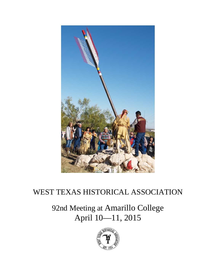

## WEST TEXAS HISTORICAL ASSOCIATION

92nd Meeting at Amarillo College April 10—11, 2015

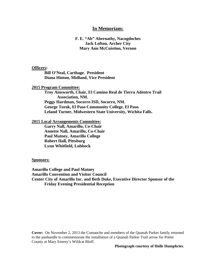## **In Memoriam:**

## **F. E. "Ab" Abernathy, Nacogdoches Jack Lofton, Archer City Mary Ann McCuistion, Vernon**

#### **Officers:**

**Bill O'Neal, Carthage. President Diana Hinton, Midland, Vice President**

## **2015 Program Committee:**

**Troy Ainsworth, Chair, El Camino Real de Tierra Adentro Trail Association, NM. Peggy Hardman, Socorro ISD, Socorro, NM. George Torok, El Paso Community College, El Paso. Leland Turner, Midwestern State University, Wichita Falls.**

#### **2015 Local Arrangements Committee:**

**Garry Nall, Amarillo, Co-Chair Annette Nall, Amarillo, Co-Chair Paul Matney, Amarillo College Robert Hall, Pittsburg Lynn Whitfield, Lubbock**

#### **Sponsors:**

**Amarillo College and Paul Matney Amarillo Convention and Visitor Council Center City of Amarillo Inc. and Beth Duke, Executive Director Sponsor of the Friday Evening Presidential Reception** 

**Cover:** On November 2, 2013 the Comanche and members of the Quanah Parker family returned to the panhandle to commemorate the installation of a Quanah Parker Trail arrow for Potter County at Mary Emeny's Wildcat Bluff.

#### **Photograph courtesy of Holle Humphries**.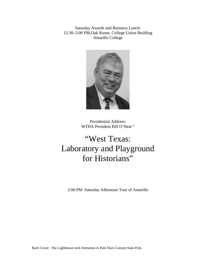Saturday Awards and Business Lunch: 12:30–2:00 PM.Oak Room, College Union Building Amarillo College



Presidential Address: WTHA President Bill O'Neal "

# "West Texas: Laboratory and Playground for Historians"

2:00 PM Saturday Afternoon Tour of Amarillo

Back Cover: The Lighthouse rock formation in Palo Duro Canyon State Park.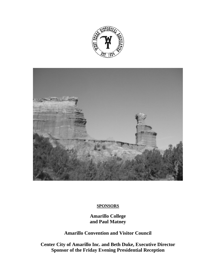



## **SPONSORS**

**Amarillo College and Paul Matney**

**Amarillo Convention and Visitor Council**

**Center City of Amarillo Inc. and Beth Duke, Executive Director Sponsor of the Friday Evening Presidential Reception**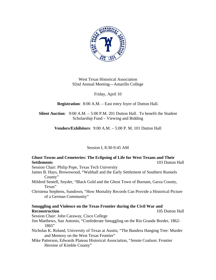

West Texas Historical Association 92nd Annual Meeting—Amarillo College

Friday, April 10

**Registration**: 8:00 A.M. – East entry foyer of Dutton Hall.

**Silent Auction**: 9:00 A.M. – 5:00 P.M. 201 Dutton Hall. To benefit the Student Scholarship Fund – Viewing and Bidding

**Vendors/Exhibitors**: 9:00 A.M. – 5:00 P. M. 101 Dutton Hall

Session I, 8:30-9:45 AM

## **Ghost Towns and Cemeteries: The Eclipsing of Life for West Texans and Their Settlements** 103 Dutton Hall

Session Chair: Philip Pope, Texas Tech University

- James B. Hays, Brownwood, "Walthall and the Early Settlement of Southern Runnels County"
- Mildred Sentell, Snyder, "Black Gold and the Ghost Town of Burnam, Garza County, Texas"
- Christena Stephens, Sundown, "How Mortality Records Can Provide a Historical Picture of a German Community"

## **Smuggling and Violence on the Texas Frontier during the Civil War and Reconstruction** 105 Dutton Hall

Session Chair: John Caraway, Cisco College

- Jim Matthews, San Antonio, "Confederate Smuggling on the Rio Grande Border, 1862- 1865"
- Nicholas K. Roland, University of Texas at Austin, "The Bandera Hanging Tree: Murder and Memory on the West Texas Frontier"
- Mike Patterson, Edwards Plateau Historical Association, "Jennie Coalson: Frontier Heroine of Kimble County"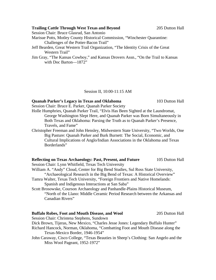Session Chair: Bruce Glasrud, San Antonio

Marisue Potts, Motley County Historical Commission, "Winchester Quarantine: Challenges of the Potter-Bacon Trail"

- Jeff Bearden, Great Western Trail Organization, "The Identity Crisis of the Great Western Trail"
- Jim Gray, "The Kansas Cowboy," and Kansas Drovers Assn., "On the Trail to Kansas with Doc Barton—1872"

Session II, 10:00-11:15 AM

## **Quanah Parker's Legacy in Texas and Oklahoma** 103 Dutton Hall

Session Chair: Bruce E. Parker, Quanah Parker Society

- Holle Humphries, Quanah Parker Trail, "Elvis Has Been Sighted at the Laundromat, George Washington Slept Here, and Quanah Parker was Born Simultaneously in Both Texas and Oklahoma: Parsing the Truth as to Quanah Parker's Presence, Travels, and Fame"
- Christopher Freeman and John Hensley, Midwestern State University, "Two Worlds, One Big Pasture: Quanah Parker and Burk Burnett: The Social, Economic, and Cultural Implications of Anglo/Indian Associations in the Oklahoma and Texas Borderlands"

## **Reflecting on Texas Archaeology: Past, Present, and Future 105 Dutton Hall**

Session Chair: Lynn Whitfield, Texas Tech University

- William A. "Andy" Cloud, Center for Big Bend Studies, Sul Ross State University, "Archaeological Research in the Big Bend of Texas: A Historical Overview"
- Tamra Walter, Texas Tech University, "Foreign Frontiers and Native Homelands: Spanish and Indigenous Interactions at San Saba"
- Scott Brosowske, Courson Archaeology and Panhandle-Plains Historical Museum, "North of the Llano: Middle Ceramic Period Research between the Arkansas and Canadian Rivers"

## **Buffalo Robes, Foot and Mouth Disease, and Wool** 205 Dutton Hall

Session Chair: Christena Stephens, Sundown

- Dick Brown, Tijeras, New Mexico, "Charles Jesse Jones: Legendary Buffalo Hunter"
- Richard Hancock, Norman, Oklahoma, "Combatting Foot and Mouth Disease along the Texas-Mexico Border, 1946-1954"
- John Caraway, Cisco College, "Texas Beauties in Sheep's Clothing: San Angelo and the Miss Wool Pageant, 1952-1972"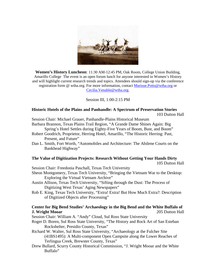

**Women's History Luncheon**: 11:30 AM-12:45 PM, Oak Room, College Union Building, Amarillo College The event is an open forum lunch for anyone interested in Women's History and will highlight current research trends and topics. Attendees should sign-up via the conference registration form @ wtha.org. For more information, contact [Marisue.Potts@wtha.org](mailto:Marisue.Potts@wtha.org) or [Cecilia.Venable@wtha.org.](mailto:Cecilia.Venable@wtha.org)

#### Session III, 1:00-2:15 PM

## **Historic Hotels of the Plains and Panhandle: A Spectrum of Preservation Stories** 103 Dutton Hall

Session Chair: Michael Grauer, Panhandle-Plains Historical Museum

Barbara Brannon, Texas Plains Trail Region, "A Grande Dame Shines Again: Big Spring's Hotel Settles during Eighty-Five Years of Boom, Bust, and Boom"

- Robert Goodrich, Proprietor, Herring Hotel, Amarillo, "The Historic Herring: Past, Present, and Future"
- Dan L. Smith, Fort Worth, "Automobiles and Architecture: The Abilene Courts on the Bankhead Highway"

## **The Value of Digitization Projects: Research Without Getting Your Hands Dirty**

105 Dutton Hall

Session Chair: Freedonia Paschall, Texas Tech University

- Sheon Montgomery, Texas Tech University, "Bringing the Vietnam War to the Desktop: Exploring the Virtual Vietnam Archive"
- Austin Allison, Texas Tech University, "Sifting through the Dust: The Process of Digitizing West Texas' Aging Newspapers"
- Rob E. King, Texas Tech University, "Extra! Extra! But How Much Extra?: Description of Digitized Objects after Processing"

## **Center for Big Bend Studies' Archaeology in the Big Bend and the White Buffalo of J. Wright Mooar** 205 Dutton Hall

Session Chair: William A. "Andy" Cloud, Sul Ross State University

- Roger D. Boren, Sul Ross State University, "The History and Rock Art of San Esteban Rockshelter, Presidio County, Texas"
- Richard W. Walter, Sul Ross State University, "Archaeology at the Fulcher Site (41BS1495): A Multi-component Open Campsite along the Lower Reaches of Terlingua Creek, Brewster County, Texas"
- Drew Bullard, Scurry County Historical Commission, "J. Wright Mooar and the White Buffalo"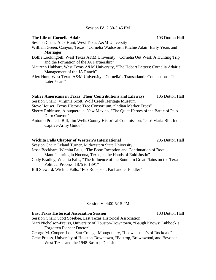|  |  | Session IV, 2:30-3:45 PM |  |
|--|--|--------------------------|--|
|--|--|--------------------------|--|

| The Life of Cornelia Adair                                                                                                    | 103 Dutton Hall |
|-------------------------------------------------------------------------------------------------------------------------------|-----------------|
| Session Chair: Alex Hunt, West Texas A&M University                                                                           |                 |
| William Green, Canyon, Texas, "Cornelia Wadsworth Ritchie Adair: Early Years and                                              |                 |
| Marriages"                                                                                                                    |                 |
| Dollie Lookingbill, West Texas A&M University, "Cornelia Out West: A Hunting Trip<br>and the Formation of the JA Partnership" |                 |
| Maureen Hubbart, West Texas A&M University, "The Hobart Letters: Cornelia Adair's<br>Management of the JA Ranch"              |                 |
| Alex Hunt, West Texas A&M University, "Cornelia's Transatlantic Connections: The                                              |                 |
| Later Years"                                                                                                                  |                 |
|                                                                                                                               |                 |
|                                                                                                                               |                 |

## Native Americans in Texas: Their Contributions and Lifeways 105 Dutton Hall

Session Chair: Virginia Scott, Wolf Creek Heritage Museum

- Steve Houser, Texas Historic Tree Consortium, "Indian Marker Trees"
- Sherry Robinson, Albuquerque, New Mexico, "The Quiet Heroes of the Battle of Palo Duro Canyon"
- Antonio Pruneda Bill, Jim Wells County Historical Commission, "José Maria Bill, Indian Captive-Army Guide"

#### **Wichita Falls Chapter of Western's International** 205 Dutton Hall

Session Chair: Leland Turner, Midwestern State University Jesse Beckham, Wichita Falls, "The Boot: Inception and Continuation of Boot Manufacturing in Nocona, Texas, at the Hands of Enid Justin"

Cody Bradley, Wichita Falls, "The Influence of the Southern Great Plains on the Texas Political Process, 1875 to 1891"

Bill Steward, Wichita Falls, "Eck Roberson: Panhandler Fiddler"

#### Session V: 4:00-5:15 PM

**East Texas Historical Association Session** 103 Dutton Hall

Session Chair: Scott Sosebee, East Texas Historical Association

Mari Nicholson-Preuss, University of Houston-Downtown, "Baugh Knows: Lubbock's Forgotten Pioneer Doctor"

George M. Cooper, Lone Star College-Montgomery, "Loewenstein's of Rockdale"

Gene Preuss, University of Houston-Downtown, "Bastrop, Brownwood, and Beyond: West Texas and the 1948 Bastrop Decision"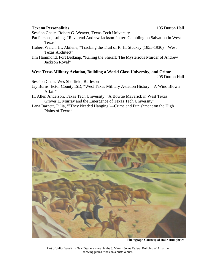#### **Texana Personalities** 105 Dutton Hall

Session Chair: Robert G. Weaver, Texas Tech University

- Pat Parsons, Luling, "Reverend Andrew Jackson Potter: Gambling on Salvation in West Texas"
- Hubert Welch, Jr., Abilene, "Tracking the Trail of R. H. Stuckey (1855-1936)—West Texas Architect"
- Jim Hammond, Fort Belknap, "Killing the Sheriff: The Mysterious Murder of Andrew Jackson Royal"

## **West Texas Military Aviation, Building a World Class University, and Crime**

205 Dutton Hall

Session Chair: Wes Sheffield, Burleson

- Jay Burns, Ector County ISD, "West Texas Military Aviation History—A Wind Blown Affair"
- H. Allen Anderson, Texas Tech University, "A Bowtie Maverick in West Texas: Grover E. Murray and the Emergence of Texas Tech University"
- Lana Barnett, Tulia, "'They Needed Hanging'—Crime and Punishment on the High Plains of Texas"



**Photograph Courtesy of Holle Humphries**

Part of Julius Woeltz's New Deal era mural in the J. Marvin Jones Federal Building of Amarillo showing plains tribes on a buffalo hunt.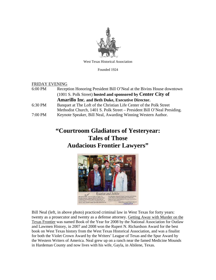

West Texas Historical Association

Founded 1924

#### FRIDAY EVENING

| 6:00 PM | Reception Honoring President Bill O'Neal at the Bivins House downtown    |
|---------|--------------------------------------------------------------------------|
|         | (1001 S. Polk Street) hosted and sponsored by Center City of             |
|         | <b>Amarillo Inc. and Beth Duke, Executive Director.</b>                  |
| 6:30 PM | Banquet at The Loft of the Christian Life Center of the Polk Street      |
|         | Methodist Church, 1401 S. Polk Street – President Bill O'Neal Presiding. |
| 7:00 PM | Keynote Speaker, Bill Neal, Awarding Winning Western Author.             |

## **"Courtroom Gladiators of Yesteryear: Tales of Those Audacious Frontier Lawyers"**



Bill Neal (left, in above photo) practiced criminal law in West Texas for forty years: twenty as a prosecutor and twenty as a defense attorney. Getting Away with Murder on the Texas Frontier was named Book of the Year for 2008 by the National Association for Outlaw and Lawmen History, in 2007 and 2008 won the Rupert N. Richardson Award for the best book on West Texas history from the West Texas Historical Association, and was a finalist for both the Violet Crown Award by the Writers' League of Texas and the Spur Award by the Western Writers of America. Neal grew up on a ranch near the famed Medicine Mounds in Hardeman County and now lives with his wife, Gayla, in Abilene, Texas.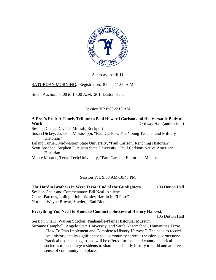

Saturday, April 11

SATURDAY MORNING. Registration. 8:00 – 11:00 A.M

Silent Auction. 8:00 to 10:00 A.M. 201, Dutton Hall.

## Session VI: 8:00-9:15 AM

## **A Prof's Prof: A Timely Tribute to Paul Howard Carlson and His Versatile Body of Work Ordway Hall (auditorium)**

Session Chair: David J. Murrah, Rockport

Susan Dickey, Jackson, Mississippi, "Paul Carlson: The Young Teacher and Military Historian"

Leland Turner, Midwestern State University, "Paul Carlson: Ranching Historian"

Scott Sosebee, Stephen F. Austin State University, "Paul Carlson: Native American Historian

Monte Monroe, Texas Tech University, "Paul Carlson: Editor and Mentor

## Session VII: 9:30 AM-10:45 PM

**The Hardin Brothers in West Texas: End of the Gunfighters** 103 Dutton Hall Session Chair and Commentator: Bill Neal, Abilene Chuck Parsons, Luling, "John Wesley Hardin in El Paso" Norman Wayne Brown, Snyder, "Bad Blood"

## **Everything You Need to Know to Conduct a Successful History Harvest,**

105 Dutton Hall

Session Chair: Warren Stricker, Panhandle-Plains Historical Museum Suzanne Campbell, Angelo State University, and Sarah Nezamabadi, Humanities Texas,

"How To Plan Implement and Complete a History Harvest." The need to record local history and its significance to a community serves as session's cornerstone. Practical tips and suggestions will be offered for local and county historical societies to encourage residents to share their family history to build and archive a sense of community and place.